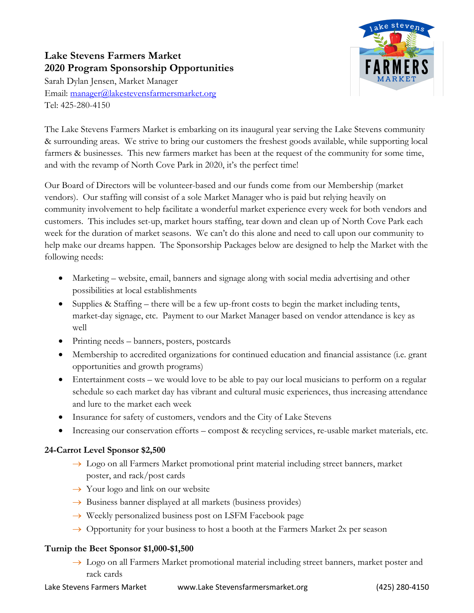## **Lake Stevens Farmers Market 2020 Program Sponsorship Opportunities**

Sarah Dylan Jensen, Market Manager Email: manager@lakestevensfarmersmarket.org Tel: 425-280-4150



The Lake Stevens Farmers Market is embarking on its inaugural year serving the Lake Stevens community & surrounding areas. We strive to bring our customers the freshest goods available, while supporting local farmers & businesses. This new farmers market has been at the request of the community for some time, and with the revamp of North Cove Park in 2020, it's the perfect time!

Our Board of Directors will be volunteer-based and our funds come from our Membership (market vendors). Our staffing will consist of a sole Market Manager who is paid but relying heavily on community involvement to help facilitate a wonderful market experience every week for both vendors and customers. This includes set-up, market hours staffing, tear down and clean up of North Cove Park each week for the duration of market seasons. We can't do this alone and need to call upon our community to help make our dreams happen. The Sponsorship Packages below are designed to help the Market with the following needs:

- Marketing website, email, banners and signage along with social media advertising and other possibilities at local establishments
- Supplies & Staffing there will be a few up-front costs to begin the market including tents, market-day signage, etc. Payment to our Market Manager based on vendor attendance is key as well
- Printing needs banners, posters, postcards
- Membership to accredited organizations for continued education and financial assistance (i.e. grant opportunities and growth programs)
- Entertainment costs we would love to be able to pay our local musicians to perform on a regular schedule so each market day has vibrant and cultural music experiences, thus increasing attendance and lure to the market each week
- Insurance for safety of customers, vendors and the City of Lake Stevens
- Increasing our conservation efforts compost & recycling services, re-usable market materials, etc.

## **24-Carrot Level Sponsor \$2,500**

- $\rightarrow$  Logo on all Farmers Market promotional print material including street banners, market poster, and rack/post cards
- $\rightarrow$  Your logo and link on our website
- $\rightarrow$  Business banner displayed at all markets (business provides)
- $\rightarrow$  Weekly personalized business post on LSFM Facebook page
- $\rightarrow$  Opportunity for your business to host a booth at the Farmers Market 2x per season

## **Turnip the Beet Sponsor \$1,000-\$1,500**

 $\rightarrow$  Logo on all Farmers Market promotional material including street banners, market poster and rack cards

Lake Stevens Farmers Market www.Lake Stevensfarmersmarket.org (425) 280-4150